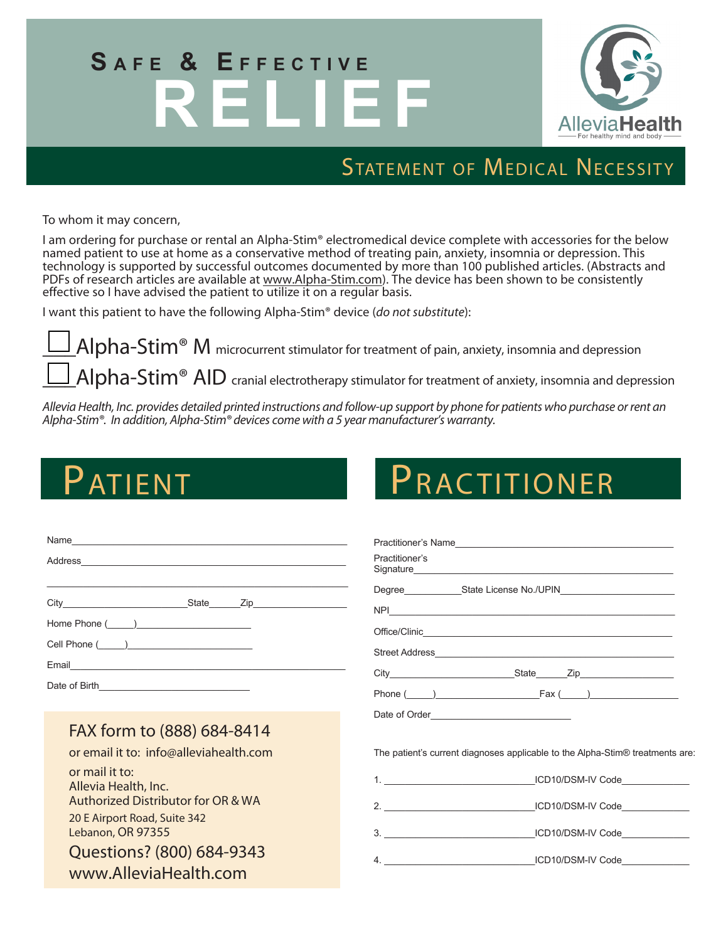# SAFE & EFFECTIVE **R ELIEF**



### STATEMENT OF MEDICAL NECESSITY

To whom it may concern,

I am ordering for purchase or rental an Alpha-Stim® electromedical device complete with accessories for the below named patient to use at home as a conservative method of treating pain, anxiety, insomnia or depression. This technology is supported by successful outcomes documented by more than 100 published articles. (Abstracts and PDFs of research articles are available at www.Alpha-Stim.com). The device has been shown to be consistently effective so I have advised the patient to utilize it on a regular basis.

I want this patient to have the following Alpha-Stim® device (*do not substitute*):

 $Alpha{\-\}Sim^{\circledast}$  M microcurrent stimulator for treatment of pain, anxiety, insomnia and depression

 $_A$ Alpha-Stim® AID cranial electrotherapy stimulator for treatment of anxiety, insomnia and depression

*Allevia Health, Inc. provides detailed printed instructions and follow-up support by phone for patients who purchase or rent an Alpha-Stim®. In addition, Alpha-Stim®* devices *come with a 5 year manufacturer's warranty.* 

## Patient

| PRACTITIONER |
|--------------|
|--------------|

| Name                                                                                                                                                                                                                                                            | Practitioner's                                                                                                                |  |
|-----------------------------------------------------------------------------------------------------------------------------------------------------------------------------------------------------------------------------------------------------------------|-------------------------------------------------------------------------------------------------------------------------------|--|
|                                                                                                                                                                                                                                                                 |                                                                                                                               |  |
| Home Phone $(\_\_)$                                                                                                                                                                                                                                             |                                                                                                                               |  |
| FAX form to (888) 684-8414<br>or email it to: info@alleviahealth.com<br>or mail it to:<br>Allevia Health, Inc.<br>Authorized Distributor for OR & WA<br>20 E Airport Road, Suite 342<br>Lebanon, OR 97355<br>Questions? (800) 684-9343<br>www.AlleviaHealth.com | The patient's current diagnoses applicable to the Alpha-Stim® treatments are:<br>2. ICD10/DSM-IV Code<br>4. ICD10/DSM-IV Code |  |